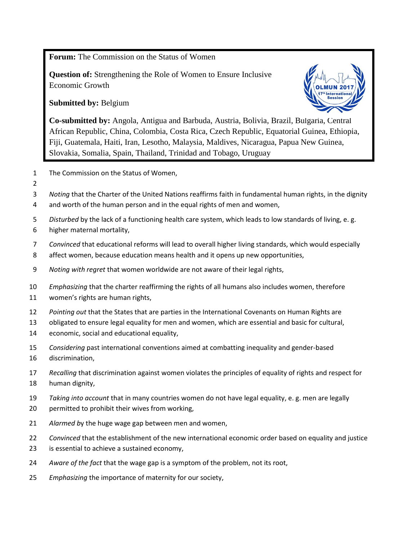**Forum:** The Commission on the Status of Women

**Question of:** Strengthening the Role of Women to Ensure Inclusive Economic Growth

**Submitted by:** Belgium



**Co-submitted by:** Angola, Antigua and Barbuda, Austria, Bolivia, Brazil, Bulgaria, Central African Republic, China, Colombia, Costa Rica, Czech Republic, Equatorial Guinea, Ethiopia, Fiji, Guatemala, Haiti, Iran, Lesotho, Malaysia, Maldives, Nicaragua, Papua New Guinea, Slovakia, Somalia, Spain, Thailand, Trinidad and Tobago, Uruguay

- The Commission on the Status of Women,
- 

*Noting* that the Charter of the United Nations reaffirms faith in fundamental human rights, in the dignity

- and worth of the human person and in the equal rights of men and women,
- *Disturbed* by the lack of a functioning health care system, which leads to low standards of living, e. g.
- higher maternal mortality,
- *Convinced* that educational reforms will lead to overall higher living standards, which would especially
- affect women, because education means health and it opens up new opportunities,
- *Noting with regret* that women worldwide are not aware of their legal rights,
- *Emphasizing* that the charter reaffirming the rights of all humans also includes women, therefore
- women's rights are human rights,
- *Pointing out* that the States that are parties in the International Covenants on Human Rights are
- obligated to ensure legal equality for men and women, which are essential and basic for cultural,
- economic, social and educational equality,
- *Considering* past international conventions aimed at combatting inequality and gender-based discrimination,
- *Recalling* that discrimination against women violates the principles of equality of rights and respect for human dignity,
- *Taking into account* that in many countries women do not have legal equality, e. g. men are legally
- permitted to prohibit their wives from working,
- *Alarmed b*y the huge wage gap between men and women,
- *Convinced* that the establishment of the new international economic order based on equality and justice
- is essential to achieve a sustained economy,
- *Aware of the fact* that the wage gap is a symptom of the problem, not its root,
- *Emphasizing* the importance of maternity for our society,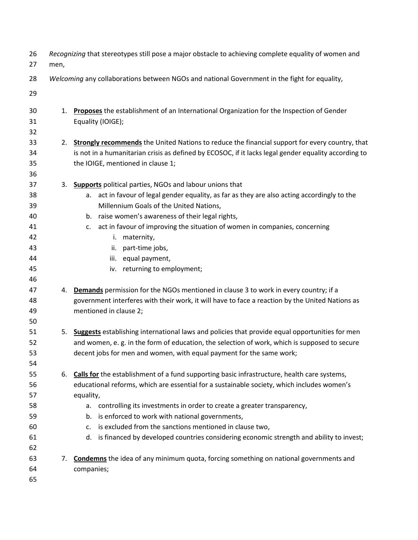| 26<br>27 | Recognizing that stereotypes still pose a major obstacle to achieving complete equality of women and<br>men, |                                                                                                       |  |  |  |
|----------|--------------------------------------------------------------------------------------------------------------|-------------------------------------------------------------------------------------------------------|--|--|--|
| 28       | Welcoming any collaborations between NGOs and national Government in the fight for equality,                 |                                                                                                       |  |  |  |
| 29       |                                                                                                              |                                                                                                       |  |  |  |
| 30       | 1.                                                                                                           | Proposes the establishment of an International Organization for the Inspection of Gender              |  |  |  |
| 31       |                                                                                                              | Equality (IOIGE);                                                                                     |  |  |  |
| 32       |                                                                                                              |                                                                                                       |  |  |  |
| 33       | 2.                                                                                                           | <b>Strongly recommends</b> the United Nations to reduce the financial support for every country, that |  |  |  |
| 34       |                                                                                                              | is not in a humanitarian crisis as defined by ECOSOC, if it lacks legal gender equality according to  |  |  |  |
| 35       |                                                                                                              | the IOIGE, mentioned in clause 1;                                                                     |  |  |  |
| 36       |                                                                                                              |                                                                                                       |  |  |  |
| 37       |                                                                                                              | 3. Supports political parties, NGOs and labour unions that                                            |  |  |  |
| 38       |                                                                                                              | a. act in favour of legal gender equality, as far as they are also acting accordingly to the          |  |  |  |
| 39       |                                                                                                              | Millennium Goals of the United Nations,                                                               |  |  |  |
| 40       |                                                                                                              | b. raise women's awareness of their legal rights,                                                     |  |  |  |
| 41       |                                                                                                              | act in favour of improving the situation of women in companies, concerning<br>C.                      |  |  |  |
| 42       |                                                                                                              | maternity,<br>i.                                                                                      |  |  |  |
| 43       |                                                                                                              | part-time jobs,<br>ii.                                                                                |  |  |  |
| 44       |                                                                                                              | equal payment,<br>iii.                                                                                |  |  |  |
| 45       |                                                                                                              | iv. returning to employment;                                                                          |  |  |  |
| 46       |                                                                                                              |                                                                                                       |  |  |  |
| 47       |                                                                                                              | 4. Demands permission for the NGOs mentioned in clause 3 to work in every country; if a               |  |  |  |
| 48       |                                                                                                              | government interferes with their work, it will have to face a reaction by the United Nations as       |  |  |  |
| 49       |                                                                                                              | mentioned in clause 2;                                                                                |  |  |  |
| 50       |                                                                                                              |                                                                                                       |  |  |  |
| 51       |                                                                                                              | 5. Suggests establishing international laws and policies that provide equal opportunities for men     |  |  |  |
| 52       |                                                                                                              | and women, e. g. in the form of education, the selection of work, which is supposed to secure         |  |  |  |
| 53       |                                                                                                              | decent jobs for men and women, with equal payment for the same work;                                  |  |  |  |
| 54       |                                                                                                              |                                                                                                       |  |  |  |
| 55       | 6.                                                                                                           | <b>Calls for</b> the establishment of a fund supporting basic infrastructure, health care systems,    |  |  |  |
| 56       |                                                                                                              | educational reforms, which are essential for a sustainable society, which includes women's            |  |  |  |
| 57       |                                                                                                              | equality,                                                                                             |  |  |  |
| 58       |                                                                                                              | a. controlling its investments in order to create a greater transparency,                             |  |  |  |
| 59       |                                                                                                              | b. is enforced to work with national governments,                                                     |  |  |  |
| 60       |                                                                                                              | is excluded from the sanctions mentioned in clause two,<br>C.                                         |  |  |  |
| 61       |                                                                                                              | d. is financed by developed countries considering economic strength and ability to invest;            |  |  |  |
| 62       |                                                                                                              |                                                                                                       |  |  |  |
| 63       | 7.                                                                                                           | <b>Condemns</b> the idea of any minimum quota, forcing something on national governments and          |  |  |  |
| 64       |                                                                                                              | companies;                                                                                            |  |  |  |
| 65       |                                                                                                              |                                                                                                       |  |  |  |